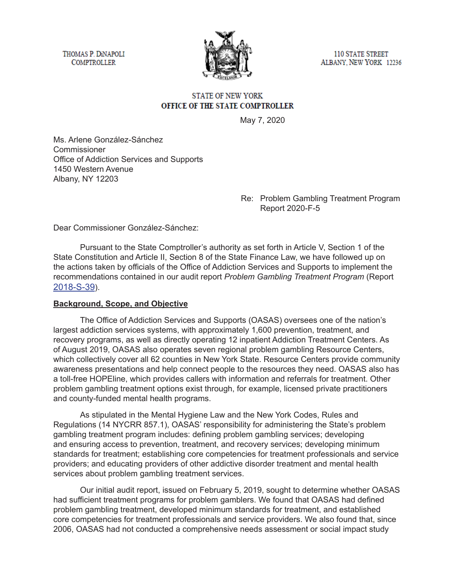THOMAS P. DINAPOLI **COMPTROLLER** 



**110 STATE STREET** ALBANY, NEW YORK 12236

# **STATE OF NEW YORK** OFFICE OF THE STATE COMPTROLLER

May 7, 2020

Ms. Arlene González-Sánchez **Commissioner** Office of Addiction Services and Supports 1450 Western Avenue Albany, NY 12203

## Re: Problem Gambling Treatment Program Report 2020-F-5

Dear Commissioner González-Sánchez:

Pursuant to the State Comptroller's authority as set forth in Article V, Section 1 of the State Constitution and Article II, Section 8 of the State Finance Law, we have followed up on the actions taken by officials of the Office of Addiction Services and Supports to implement the recommendations contained in our audit report *Problem Gambling Treatment Program* (Report [2018-S-39](https://osc.state.ny.us/audits/allaudits/093019/18s39.htm)).

### **Background, Scope, and Objective**

The Office of Addiction Services and Supports (OASAS) oversees one of the nation's largest addiction services systems, with approximately 1,600 prevention, treatment, and recovery programs, as well as directly operating 12 inpatient Addiction Treatment Centers. As of August 2019, OASAS also operates seven regional problem gambling Resource Centers, which collectively cover all 62 counties in New York State. Resource Centers provide community awareness presentations and help connect people to the resources they need. OASAS also has a toll-free HOPEline, which provides callers with information and referrals for treatment. Other problem gambling treatment options exist through, for example, licensed private practitioners and county-funded mental health programs.

As stipulated in the Mental Hygiene Law and the New York Codes, Rules and Regulations (14 NYCRR 857.1), OASAS' responsibility for administering the State's problem gambling treatment program includes: defining problem gambling services; developing and ensuring access to prevention, treatment, and recovery services; developing minimum standards for treatment; establishing core competencies for treatment professionals and service providers; and educating providers of other addictive disorder treatment and mental health services about problem gambling treatment services.

Our initial audit report, issued on February 5, 2019, sought to determine whether OASAS had sufficient treatment programs for problem gamblers. We found that OASAS had defined problem gambling treatment, developed minimum standards for treatment, and established core competencies for treatment professionals and service providers. We also found that, since 2006, OASAS had not conducted a comprehensive needs assessment or social impact study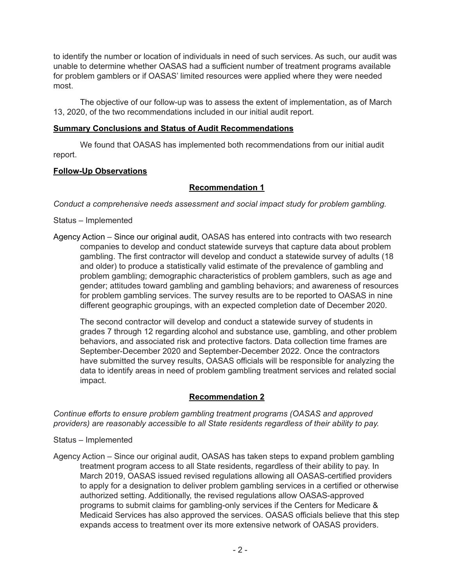to identify the number or location of individuals in need of such services. As such, our audit was unable to determine whether OASAS had a sufficient number of treatment programs available for problem gamblers or if OASAS' limited resources were applied where they were needed most.

The objective of our follow-up was to assess the extent of implementation, as of March 13, 2020, of the two recommendations included in our initial audit report.

#### **Summary Conclusions and Status of Audit Recommendations**

We found that OASAS has implemented both recommendations from our initial audit report.

### **Follow-Up Observations**

### **Recommendation 1**

*Conduct a comprehensive needs assessment and social impact study for problem gambling.* 

#### Status – Implemented

Agency Action – Since our original audit, OASAS has entered into contracts with two research companies to develop and conduct statewide surveys that capture data about problem gambling. The first contractor will develop and conduct a statewide survey of adults (18 and older) to produce a statistically valid estimate of the prevalence of gambling and problem gambling; demographic characteristics of problem gamblers, such as age and gender; attitudes toward gambling and gambling behaviors; and awareness of resources for problem gambling services. The survey results are to be reported to OASAS in nine different geographic groupings, with an expected completion date of December 2020.

The second contractor will develop and conduct a statewide survey of students in grades 7 through 12 regarding alcohol and substance use, gambling, and other problem behaviors, and associated risk and protective factors. Data collection time frames are September-December 2020 and September-December 2022. Once the contractors have submitted the survey results, OASAS officials will be responsible for analyzing the data to identify areas in need of problem gambling treatment services and related social impact.

### **Recommendation 2**

*Continue efforts to ensure problem gambling treatment programs (OASAS and approved providers) are reasonably accessible to all State residents regardless of their ability to pay.*

- Status Implemented
- Agency Action Since our original audit, OASAS has taken steps to expand problem gambling treatment program access to all State residents, regardless of their ability to pay. In March 2019, OASAS issued revised regulations allowing all OASAS-certified providers to apply for a designation to deliver problem gambling services in a certified or otherwise authorized setting. Additionally, the revised regulations allow OASAS-approved programs to submit claims for gambling-only services if the Centers for Medicare & Medicaid Services has also approved the services. OASAS officials believe that this step expands access to treatment over its more extensive network of OASAS providers.